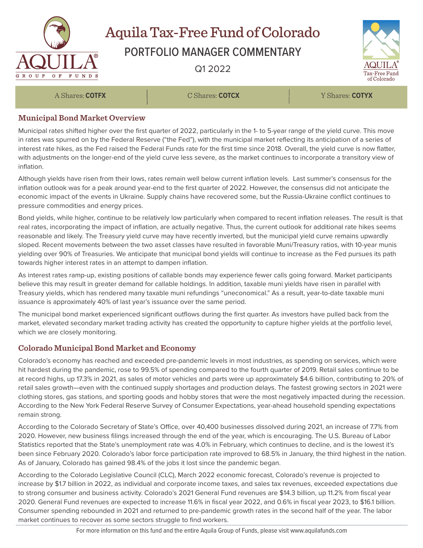

# Aquila Tax-Free Fund of Colorado

## PORTFOLIO MANAGER COMMENTARY

Q1 2022



A Shares: **COTFX** C Shares: **COTCX** Y Shares: **COTYX**

#### **Municipal Bond Market Overview**

Municipal rates shifted higher over the first quarter of 2022, particularly in the 1- to 5-year range of the yield curve. This move in rates was spurred on by the Federal Reserve ("the Fed"), with the municipal market reflecting its anticipation of a series of interest rate hikes, as the Fed raised the Federal Funds rate for the first time since 2018. Overall, the yield curve is now flatter, with adjustments on the longer-end of the yield curve less severe, as the market continues to incorporate a transitory view of inflation.

Although yields have risen from their lows, rates remain well below current inflation levels. Last summer's consensus for the inflation outlook was for a peak around year-end to the first quarter of 2022. However, the consensus did not anticipate the economic impact of the events in Ukraine. Supply chains have recovered some, but the Russia-Ukraine conflict continues to pressure commodities and energy prices.

Bond yields, while higher, continue to be relatively low particularly when compared to recent inflation releases. The result is that real rates, incorporating the impact of inflation, are actually negative. Thus, the current outlook for additional rate hikes seems reasonable and likely. The Treasury yield curve may have recently inverted, but the municipal yield curve remains upwardly sloped. Recent movements between the two asset classes have resulted in favorable Muni/Treasury ratios, with 10-year munis yielding over 90% of Treasuries. We anticipate that municipal bond yields will continue to increase as the Fed pursues its path towards higher interest rates in an attempt to dampen inflation.

As interest rates ramp-up, existing positions of callable bonds may experience fewer calls going forward. Market participants believe this may result in greater demand for callable holdings. In addition, taxable muni yields have risen in parallel with Treasury yields, which has rendered many taxable muni refundings "uneconomical." As a result, year-to-date taxable muni issuance is approximately 40% of last year's issuance over the same period.

The municipal bond market experienced significant outflows during the first quarter. As investors have pulled back from the market, elevated secondary market trading activity has created the opportunity to capture higher yields at the portfolio level, which we are closely monitoring.

### **Colorado Municipal Bond Market and Economy**

Colorado's economy has reached and exceeded pre-pandemic levels in most industries, as spending on services, which were hit hardest during the pandemic, rose to 99.5% of spending compared to the fourth quarter of 2019. Retail sales continue to be at record highs, up 17.3% in 2021, as sales of motor vehicles and parts were up approximately \$4.6 billion, contributing to 20% of retail sales growth—even with the continued supply shortages and production delays. The fastest growing sectors in 2021 were clothing stores, gas stations, and sporting goods and hobby stores that were the most negatively impacted during the recession. According to the New York Federal Reserve Survey of Consumer Expectations, year-ahead household spending expectations remain strong.

According to the Colorado Secretary of State's Office, over 40,400 businesses dissolved during 2021, an increase of 7.7% from 2020. However, new business filings increased through the end of the year, which is encouraging. The U.S. Bureau of Labor Statistics reported that the State's unemployment rate was 4.0% in February, which continues to decline, and is the lowest it's been since February 2020. Colorado's labor force participation rate improved to 68.5% in January, the third highest in the nation. As of January, Colorado has gained 98.4% of the jobs it lost since the pandemic began.

According to the Colorado Legislative Council (CLC), March 2022 economic forecast, Colorado's revenue is projected to increase by \$1.7 billion in 2022, as individual and corporate income taxes, and sales tax revenues, exceeded expectations due to strong consumer and business activity. Colorado's 2021 General Fund revenues are \$14.3 billion, up 11.2% from fiscal year 2020. General Fund revenues are expected to increase 11.6% in fiscal year 2022, and 0.6% in fiscal year 2023, to \$16.1 billion. Consumer spending rebounded in 2021 and returned to pre-pandemic growth rates in the second half of the year. The labor market continues to recover as some sectors struggle to find workers.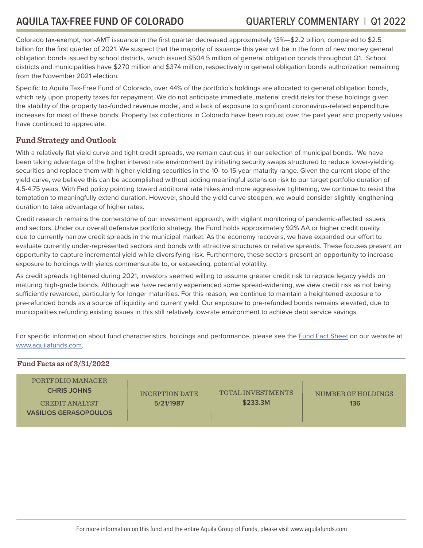Colorado tax-exempt, non-AMT issuance in the first quarter decreased approximately 13%—\$2.2 billion, compared to \$2.5 billion for the first quarter of 2021. We suspect that the majority of issuance this year will be in the form of new money general obligation bonds issued by school districts, which issued \$504.5 million of general obligation bonds throughout Q1. School districts and municipalities have \$270 million and \$374 million, respectively in general obligation bonds authorization remaining from the November 2021 election.

Specific to Aquila Tax-Free Fund of Colorado, over 44% of the portfolio's holdings are allocated to general obligation bonds, which rely upon property taxes for repayment. We do not anticipate immediate, material credit risks for these holdings given the stability of the property tax-funded revenue model, and a lack of exposure to significant coronavirus-related expenditure increases for most of these bonds. Property tax collections in Colorado have been robust over the past year and property values have continued to appreciate.

#### **Fund Strategy and Outlook**

With a relatively flat yield curve and tight credit spreads, we remain cautious in our selection of municipal bonds. We have been taking advantage of the higher interest rate environment by initiating security swaps structured to reduce lower-yielding securities and replace them with higher-yielding securities in the 10- to 15-year maturity range. Given the current slope of the yield curve, we believe this can be accomplished without adding meaningful extension risk to our target portfolio duration of 4.5-4.75 years. With Fed policy pointing toward additional rate hikes and more aggressive tightening, we continue to resist the temptation to meaningfully extend duration. However, should the yield curve steepen, we would consider slightly lengthening duration to take advantage of higher rates.

Credit research remains the cornerstone of our investment approach, with vigilant monitoring of pandemic-affected issuers and sectors. Under our overall defensive portfolio strategy, the Fund holds approximately 92% AA or higher credit quality, due to currently narrow credit spreads in the municipal market. As the economy recovers, we have expanded our effort to evaluate currently under-represented sectors and bonds with attractive structures or relative spreads. These focuses present an opportunity to capture incremental yield while diversifying risk. Furthermore, these sectors present an opportunity to increase exposure to holdings with yields commensurate to, or exceeding, potential volatility.

As credit spreads tightened during 2021, investors seemed willing to assume greater credit risk to replace legacy yields on maturing high-grade bonds. Although we have recently experienced some spread-widening, we view credit risk as not being sufficiently rewarded, particularly for longer maturities. For this reason, we continue to maintain a heightened exposure to pre-refunded bonds as a source of liquidity and current yield. Our exposure to pre-refunded bonds remains elevated, due to municipalities refunding existing issues in this still relatively low-rate environment to achieve debt service savings.

For specific information about fund characteristics, holdings and performance, please see the [Fund Fact Sheet](http://aquilafunds.com/wp-content/uploads/2014/01/CO-Fact-Sheet.pdf) on our website at [www.aquilafunds.com](http://aquilafunds.com).

| Fund Facts as of $3/31/2022$ |                                                                                           |                                    |                                      |                           |
|------------------------------|-------------------------------------------------------------------------------------------|------------------------------------|--------------------------------------|---------------------------|
|                              | PORTFOLIO MANAGER<br><b>CHRIS JOHNS</b><br>CREDIT ANALYST<br><b>VASILIOS GERASOPOULOS</b> | <b>INCEPTION DATE</b><br>5/21/1987 | <b>TOTAL INVESTMENTS</b><br>\$233.3M | NUMBER OF HOLDINGS<br>136 |
|                              |                                                                                           |                                    |                                      |                           |